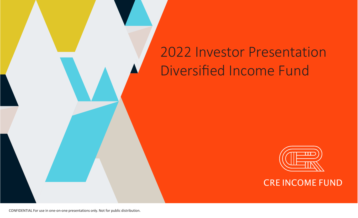# 2022 Investor Presentation Diversified Income Fund



CRE INCOME FUND

CONFIDENTIAL For use in one-on-one presentations only. Not for public distribution.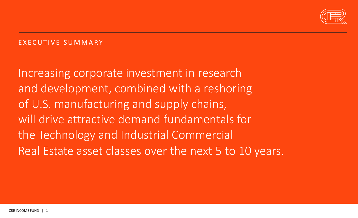

## E X ECUTIVE SUMMA RY

Increasing corporate investment in research and development, combined with a reshoring of U.S. manufacturing and supply chains, will drive attractive demand fundamentals for the Technology and Industrial Commercial Real Estate asset classes over the next 5 to 10 years.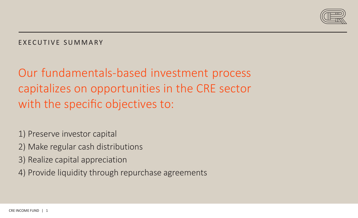

## E X ECUTIVE SUMMA RY

Our fundamentals-based investment process capitalizes on opportunities in the CRE sector with the specific objectives to:

1) Preserve investor capital

- 2) Make regular cash distributions
- 3) Realize capital appreciation
- 4) Provide liquidity through repurchase agreements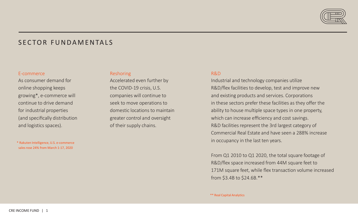

### SFCTOR FUNDAMENTALS

#### E-commerce

As consumer demand for online shopping keeps growing\*, e-commerce will continue to drive demand for industrial properties (and specifically distribution and logistics spaces).

\* Rakuten Intelligence, U.S. e-commerce sales rose 24% from March 1-17, 2020

#### Reshoring

Accelerated even further by the COVID-19 crisis, U.S. companies will continue to seek to move operations to domestic locations to maintain greater control and oversight of their supply chains.

#### R&D

Industrial and technology companies utilize R&D/flex facilities to develop, test and improve new and existing products and services. Corporations in these sectors prefer these facilities as they offer the ability to house multiple space types in one property, which can increase efficiency and cost savings. R&D facilities represent the 3rd largest category of Commercial Real Estate and have seen a 288% increase in occupancy in the last ten years.

From Q1 2010 to Q1 2020, the total square footage of R&D/flex space increased from 44M square feet to 171M square feet, while flex transaction volume increased from \$3.4B to \$24.6B.\*\*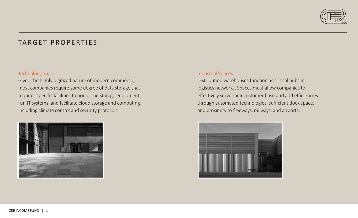

## TARGET PROPERTIES

#### Technology Spaces

Given the highly digitized nature of modern commerce, most companies require some degree of data storage that requires specific facilities to house the storage equipment, run IT systems, and facilitate cloud storage and computing, including climate control and security protocols.



#### Industrial Spaces

Distribution warehouses function as critical hubs in logistics networks. Spaces must allow companies to effectively serve their customer base and add efficiencies through automated technologies, sufficient dock space, and proximity to freeways, railways, and airports.

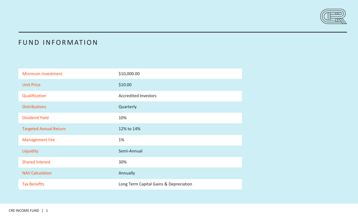

## FUND INFORMATION

| <b>Minimum Investment</b>     | \$10,000.00                            |
|-------------------------------|----------------------------------------|
| <b>Unit Price</b>             | \$10.00                                |
| Qualification                 | <b>Accredited Investors</b>            |
| <b>Distributions</b>          | Quarterly                              |
| <b>Dividend Yield</b>         | 10%                                    |
| <b>Targeted Annual Return</b> | 12% to 14%                             |
| <b>Management Fee</b>         | 1%                                     |
| Liquidity                     | Semi-Annual                            |
| <b>Shared Interest</b>        | 30%                                    |
| <b>NAV Calculation</b>        | Annually                               |
| <b>Tax Benefits</b>           | Long Term Capital Gains & Depreciation |